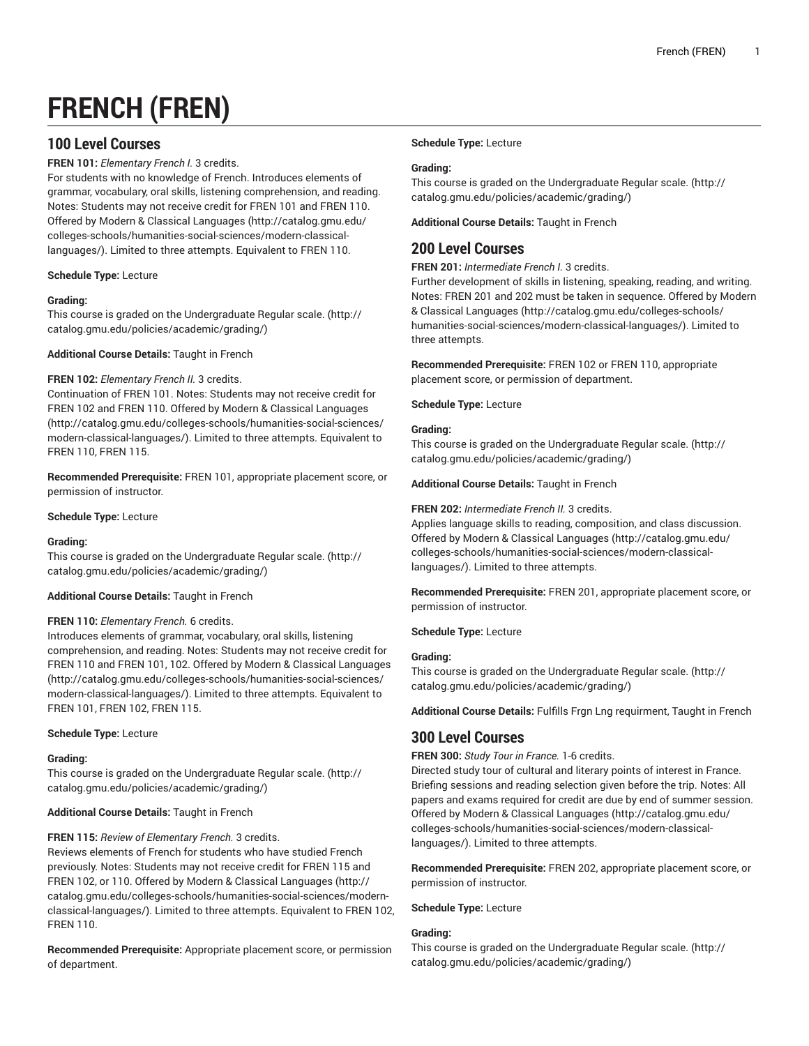# **FRENCH (FREN)**

# **100 Level Courses**

**FREN 101:** *Elementary French I.* 3 credits.

For students with no knowledge of French. Introduces elements of grammar, vocabulary, oral skills, listening comprehension, and reading. Notes: Students may not receive credit for FREN 101 and FREN 110. Offered by [Modern & Classical Languages \(http://catalog.gmu.edu/](http://catalog.gmu.edu/colleges-schools/humanities-social-sciences/modern-classical-languages/) [colleges-schools/humanities-social-sciences/modern-classical](http://catalog.gmu.edu/colleges-schools/humanities-social-sciences/modern-classical-languages/)[languages/\)](http://catalog.gmu.edu/colleges-schools/humanities-social-sciences/modern-classical-languages/). Limited to three attempts. Equivalent to FREN 110.

**Schedule Type:** Lecture

## **Grading:**

This course is graded on the [Undergraduate](http://catalog.gmu.edu/policies/academic/grading/) Regular scale. ([http://](http://catalog.gmu.edu/policies/academic/grading/) [catalog.gmu.edu/policies/academic/grading/\)](http://catalog.gmu.edu/policies/academic/grading/)

**Additional Course Details:** Taught in French

## **FREN 102:** *Elementary French II.* 3 credits.

Continuation of FREN 101. Notes: Students may not receive credit for FREN 102 and FREN 110. Offered by [Modern & Classical Languages](http://catalog.gmu.edu/colleges-schools/humanities-social-sciences/modern-classical-languages/) ([http://catalog.gmu.edu/colleges-schools/humanities-social-sciences/](http://catalog.gmu.edu/colleges-schools/humanities-social-sciences/modern-classical-languages/) [modern-classical-languages/](http://catalog.gmu.edu/colleges-schools/humanities-social-sciences/modern-classical-languages/)). Limited to three attempts. Equivalent to FREN 110, FREN 115.

**Recommended Prerequisite:** FREN 101, appropriate placement score, or permission of instructor.

**Schedule Type:** Lecture

## **Grading:**

This course is graded on the [Undergraduate](http://catalog.gmu.edu/policies/academic/grading/) Regular scale. ([http://](http://catalog.gmu.edu/policies/academic/grading/) [catalog.gmu.edu/policies/academic/grading/\)](http://catalog.gmu.edu/policies/academic/grading/)

## **Additional Course Details:** Taught in French

## **FREN 110:** *Elementary French.* 6 credits.

Introduces elements of grammar, vocabulary, oral skills, listening comprehension, and reading. Notes: Students may not receive credit for FREN 110 and FREN 101, 102. Offered by [Modern & Classical Languages](http://catalog.gmu.edu/colleges-schools/humanities-social-sciences/modern-classical-languages/) ([http://catalog.gmu.edu/colleges-schools/humanities-social-sciences/](http://catalog.gmu.edu/colleges-schools/humanities-social-sciences/modern-classical-languages/) [modern-classical-languages/](http://catalog.gmu.edu/colleges-schools/humanities-social-sciences/modern-classical-languages/)). Limited to three attempts. Equivalent to FREN 101, FREN 102, FREN 115.

## **Schedule Type:** Lecture

## **Grading:**

This course is graded on the [Undergraduate](http://catalog.gmu.edu/policies/academic/grading/) Regular scale. ([http://](http://catalog.gmu.edu/policies/academic/grading/) [catalog.gmu.edu/policies/academic/grading/\)](http://catalog.gmu.edu/policies/academic/grading/)

## **Additional Course Details:** Taught in French

## **FREN 115:** *Review of Elementary French.* 3 credits.

Reviews elements of French for students who have studied French previously. Notes: Students may not receive credit for FREN 115 and FREN 102, or 110. Offered by [Modern & Classical Languages](http://catalog.gmu.edu/colleges-schools/humanities-social-sciences/modern-classical-languages/) ([http://](http://catalog.gmu.edu/colleges-schools/humanities-social-sciences/modern-classical-languages/) [catalog.gmu.edu/colleges-schools/humanities-social-sciences/modern](http://catalog.gmu.edu/colleges-schools/humanities-social-sciences/modern-classical-languages/)[classical-languages/\)](http://catalog.gmu.edu/colleges-schools/humanities-social-sciences/modern-classical-languages/). Limited to three attempts. Equivalent to FREN 102, FREN 110.

**Recommended Prerequisite:** Appropriate placement score, or permission of department.

## **Schedule Type:** Lecture

## **Grading:**

This course is graded on the [Undergraduate](http://catalog.gmu.edu/policies/academic/grading/) Regular scale. ([http://](http://catalog.gmu.edu/policies/academic/grading/) [catalog.gmu.edu/policies/academic/grading/](http://catalog.gmu.edu/policies/academic/grading/))

**Additional Course Details:** Taught in French

# **200 Level Courses**

**FREN 201:** *Intermediate French I.* 3 credits.

Further development of skills in listening, speaking, reading, and writing. Notes: FREN 201 and 202 must be taken in sequence. Offered by [Modern](http://catalog.gmu.edu/colleges-schools/humanities-social-sciences/modern-classical-languages/) [& Classical Languages](http://catalog.gmu.edu/colleges-schools/humanities-social-sciences/modern-classical-languages/) [\(http://catalog.gmu.edu/colleges-schools/](http://catalog.gmu.edu/colleges-schools/humanities-social-sciences/modern-classical-languages/) [humanities-social-sciences/modern-classical-languages/\)](http://catalog.gmu.edu/colleges-schools/humanities-social-sciences/modern-classical-languages/). Limited to three attempts.

**Recommended Prerequisite:** FREN 102 or FREN 110, appropriate placement score, or permission of department.

**Schedule Type:** Lecture

## **Grading:**

This course is graded on the [Undergraduate](http://catalog.gmu.edu/policies/academic/grading/) Regular scale. ([http://](http://catalog.gmu.edu/policies/academic/grading/) [catalog.gmu.edu/policies/academic/grading/](http://catalog.gmu.edu/policies/academic/grading/))

**Additional Course Details:** Taught in French

## **FREN 202:** *Intermediate French II.* 3 credits.

Applies language skills to reading, composition, and class discussion. Offered by [Modern & Classical Languages](http://catalog.gmu.edu/colleges-schools/humanities-social-sciences/modern-classical-languages/) ([http://catalog.gmu.edu/](http://catalog.gmu.edu/colleges-schools/humanities-social-sciences/modern-classical-languages/) [colleges-schools/humanities-social-sciences/modern-classical](http://catalog.gmu.edu/colleges-schools/humanities-social-sciences/modern-classical-languages/)[languages/](http://catalog.gmu.edu/colleges-schools/humanities-social-sciences/modern-classical-languages/)). Limited to three attempts.

**Recommended Prerequisite:** FREN 201, appropriate placement score, or permission of instructor.

**Schedule Type:** Lecture

## **Grading:**

This course is graded on the [Undergraduate](http://catalog.gmu.edu/policies/academic/grading/) Regular scale. ([http://](http://catalog.gmu.edu/policies/academic/grading/) [catalog.gmu.edu/policies/academic/grading/](http://catalog.gmu.edu/policies/academic/grading/))

**Additional Course Details:** Fulfills Frgn Lng requirment, Taught in French

# **300 Level Courses**

**FREN 300:** *Study Tour in France.* 1-6 credits.

Directed study tour of cultural and literary points of interest in France. Briefing sessions and reading selection given before the trip. Notes: All papers and exams required for credit are due by end of summer session. Offered by [Modern & Classical Languages](http://catalog.gmu.edu/colleges-schools/humanities-social-sciences/modern-classical-languages/) ([http://catalog.gmu.edu/](http://catalog.gmu.edu/colleges-schools/humanities-social-sciences/modern-classical-languages/) [colleges-schools/humanities-social-sciences/modern-classical](http://catalog.gmu.edu/colleges-schools/humanities-social-sciences/modern-classical-languages/)[languages/](http://catalog.gmu.edu/colleges-schools/humanities-social-sciences/modern-classical-languages/)). Limited to three attempts.

**Recommended Prerequisite:** FREN 202, appropriate placement score, or permission of instructor.

**Schedule Type:** Lecture

## **Grading:**

This course is graded on the [Undergraduate](http://catalog.gmu.edu/policies/academic/grading/) Regular scale. ([http://](http://catalog.gmu.edu/policies/academic/grading/) [catalog.gmu.edu/policies/academic/grading/](http://catalog.gmu.edu/policies/academic/grading/))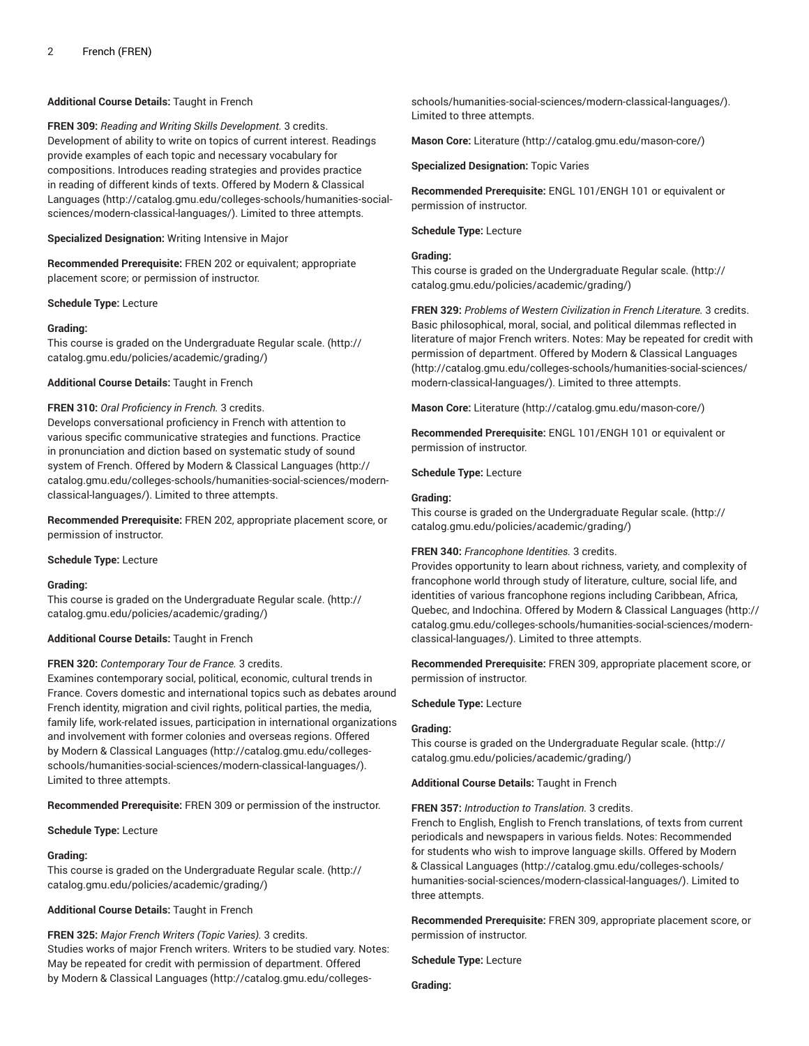## **Additional Course Details:** Taught in French

**FREN 309:** *Reading and Writing Skills Development.* 3 credits. Development of ability to write on topics of current interest. Readings provide examples of each topic and necessary vocabulary for compositions. Introduces reading strategies and provides practice in reading of different kinds of texts. Offered by [Modern & Classical](http://catalog.gmu.edu/colleges-schools/humanities-social-sciences/modern-classical-languages/) [Languages \(http://catalog.gmu.edu/colleges-schools/humanities-social](http://catalog.gmu.edu/colleges-schools/humanities-social-sciences/modern-classical-languages/)[sciences/modern-classical-languages/](http://catalog.gmu.edu/colleges-schools/humanities-social-sciences/modern-classical-languages/)). Limited to three attempts.

**Specialized Designation:** Writing Intensive in Major

**Recommended Prerequisite:** FREN 202 or equivalent; appropriate placement score; or permission of instructor.

**Schedule Type:** Lecture

#### **Grading:**

This course is graded on the [Undergraduate](http://catalog.gmu.edu/policies/academic/grading/) Regular scale. ([http://](http://catalog.gmu.edu/policies/academic/grading/) [catalog.gmu.edu/policies/academic/grading/\)](http://catalog.gmu.edu/policies/academic/grading/)

**Additional Course Details:** Taught in French

#### **FREN 310:** *Oral Proficiency in French.* 3 credits.

Develops conversational proficiency in French with attention to various specific communicative strategies and functions. Practice in pronunciation and diction based on systematic study of sound system of French. Offered by [Modern & Classical Languages](http://catalog.gmu.edu/colleges-schools/humanities-social-sciences/modern-classical-languages/) ([http://](http://catalog.gmu.edu/colleges-schools/humanities-social-sciences/modern-classical-languages/) [catalog.gmu.edu/colleges-schools/humanities-social-sciences/modern](http://catalog.gmu.edu/colleges-schools/humanities-social-sciences/modern-classical-languages/)[classical-languages/\)](http://catalog.gmu.edu/colleges-schools/humanities-social-sciences/modern-classical-languages/). Limited to three attempts.

**Recommended Prerequisite:** FREN 202, appropriate placement score, or permission of instructor.

#### **Schedule Type:** Lecture

#### **Grading:**

This course is graded on the [Undergraduate](http://catalog.gmu.edu/policies/academic/grading/) Regular scale. ([http://](http://catalog.gmu.edu/policies/academic/grading/) [catalog.gmu.edu/policies/academic/grading/\)](http://catalog.gmu.edu/policies/academic/grading/)

#### **Additional Course Details:** Taught in French

#### **FREN 320:** *Contemporary Tour de France.* 3 credits.

Examines contemporary social, political, economic, cultural trends in France. Covers domestic and international topics such as debates around French identity, migration and civil rights, political parties, the media, family life, work-related issues, participation in international organizations and involvement with former colonies and overseas regions. Offered by [Modern & Classical Languages](http://catalog.gmu.edu/colleges-schools/humanities-social-sciences/modern-classical-languages/) ([http://catalog.gmu.edu/colleges](http://catalog.gmu.edu/colleges-schools/humanities-social-sciences/modern-classical-languages/)[schools/humanities-social-sciences/modern-classical-languages/\)](http://catalog.gmu.edu/colleges-schools/humanities-social-sciences/modern-classical-languages/). Limited to three attempts.

**Recommended Prerequisite:** FREN 309 or permission of the instructor.

**Schedule Type:** Lecture

#### **Grading:**

This course is graded on the [Undergraduate](http://catalog.gmu.edu/policies/academic/grading/) Regular scale. ([http://](http://catalog.gmu.edu/policies/academic/grading/) [catalog.gmu.edu/policies/academic/grading/\)](http://catalog.gmu.edu/policies/academic/grading/)

#### **Additional Course Details:** Taught in French

**FREN 325:** *Major French Writers (Topic Varies).* 3 credits. Studies works of major French writers. Writers to be studied vary. Notes: May be repeated for credit with permission of department. Offered by [Modern & Classical Languages](http://catalog.gmu.edu/colleges-schools/humanities-social-sciences/modern-classical-languages/) ([http://catalog.gmu.edu/colleges-](http://catalog.gmu.edu/colleges-schools/humanities-social-sciences/modern-classical-languages/)

[schools/humanities-social-sciences/modern-classical-languages/](http://catalog.gmu.edu/colleges-schools/humanities-social-sciences/modern-classical-languages/)). Limited to three attempts.

**Mason Core:** [Literature](http://catalog.gmu.edu/mason-core/) ([http://catalog.gmu.edu/mason-core/\)](http://catalog.gmu.edu/mason-core/)

**Specialized Designation:** Topic Varies

**Recommended Prerequisite:** ENGL 101/ENGH 101 or equivalent or permission of instructor.

#### **Schedule Type:** Lecture

## **Grading:**

This course is graded on the [Undergraduate](http://catalog.gmu.edu/policies/academic/grading/) Regular scale. ([http://](http://catalog.gmu.edu/policies/academic/grading/) [catalog.gmu.edu/policies/academic/grading/](http://catalog.gmu.edu/policies/academic/grading/))

**FREN 329:** *Problems of Western Civilization in French Literature.* 3 credits. Basic philosophical, moral, social, and political dilemmas reflected in literature of major French writers. Notes: May be repeated for credit with permission of department. Offered by [Modern & Classical Languages](http://catalog.gmu.edu/colleges-schools/humanities-social-sciences/modern-classical-languages/) [\(http://catalog.gmu.edu/colleges-schools/humanities-social-sciences/](http://catalog.gmu.edu/colleges-schools/humanities-social-sciences/modern-classical-languages/) [modern-classical-languages/\)](http://catalog.gmu.edu/colleges-schools/humanities-social-sciences/modern-classical-languages/). Limited to three attempts.

**Mason Core:** [Literature](http://catalog.gmu.edu/mason-core/) ([http://catalog.gmu.edu/mason-core/\)](http://catalog.gmu.edu/mason-core/)

**Recommended Prerequisite:** ENGL 101/ENGH 101 or equivalent or permission of instructor.

**Schedule Type:** Lecture

#### **Grading:**

This course is graded on the [Undergraduate](http://catalog.gmu.edu/policies/academic/grading/) Regular scale. ([http://](http://catalog.gmu.edu/policies/academic/grading/) [catalog.gmu.edu/policies/academic/grading/](http://catalog.gmu.edu/policies/academic/grading/))

#### **FREN 340:** *Francophone Identities.* 3 credits.

Provides opportunity to learn about richness, variety, and complexity of francophone world through study of literature, culture, social life, and identities of various francophone regions including Caribbean, Africa, Quebec, and Indochina. Offered by [Modern & Classical Languages](http://catalog.gmu.edu/colleges-schools/humanities-social-sciences/modern-classical-languages/) ([http://](http://catalog.gmu.edu/colleges-schools/humanities-social-sciences/modern-classical-languages/) [catalog.gmu.edu/colleges-schools/humanities-social-sciences/modern](http://catalog.gmu.edu/colleges-schools/humanities-social-sciences/modern-classical-languages/)[classical-languages/\)](http://catalog.gmu.edu/colleges-schools/humanities-social-sciences/modern-classical-languages/). Limited to three attempts.

**Recommended Prerequisite:** FREN 309, appropriate placement score, or permission of instructor.

#### **Schedule Type:** Lecture

#### **Grading:**

This course is graded on the [Undergraduate](http://catalog.gmu.edu/policies/academic/grading/) Regular scale. ([http://](http://catalog.gmu.edu/policies/academic/grading/) [catalog.gmu.edu/policies/academic/grading/](http://catalog.gmu.edu/policies/academic/grading/))

#### **Additional Course Details:** Taught in French

#### **FREN 357:** *Introduction to Translation.* 3 credits.

French to English, English to French translations, of texts from current periodicals and newspapers in various fields. Notes: Recommended for students who wish to improve language skills. Offered by [Modern](http://catalog.gmu.edu/colleges-schools/humanities-social-sciences/modern-classical-languages/) [& Classical Languages](http://catalog.gmu.edu/colleges-schools/humanities-social-sciences/modern-classical-languages/) [\(http://catalog.gmu.edu/colleges-schools/](http://catalog.gmu.edu/colleges-schools/humanities-social-sciences/modern-classical-languages/) [humanities-social-sciences/modern-classical-languages/\)](http://catalog.gmu.edu/colleges-schools/humanities-social-sciences/modern-classical-languages/). Limited to three attempts.

**Recommended Prerequisite:** FREN 309, appropriate placement score, or permission of instructor.

**Schedule Type:** Lecture

**Grading:**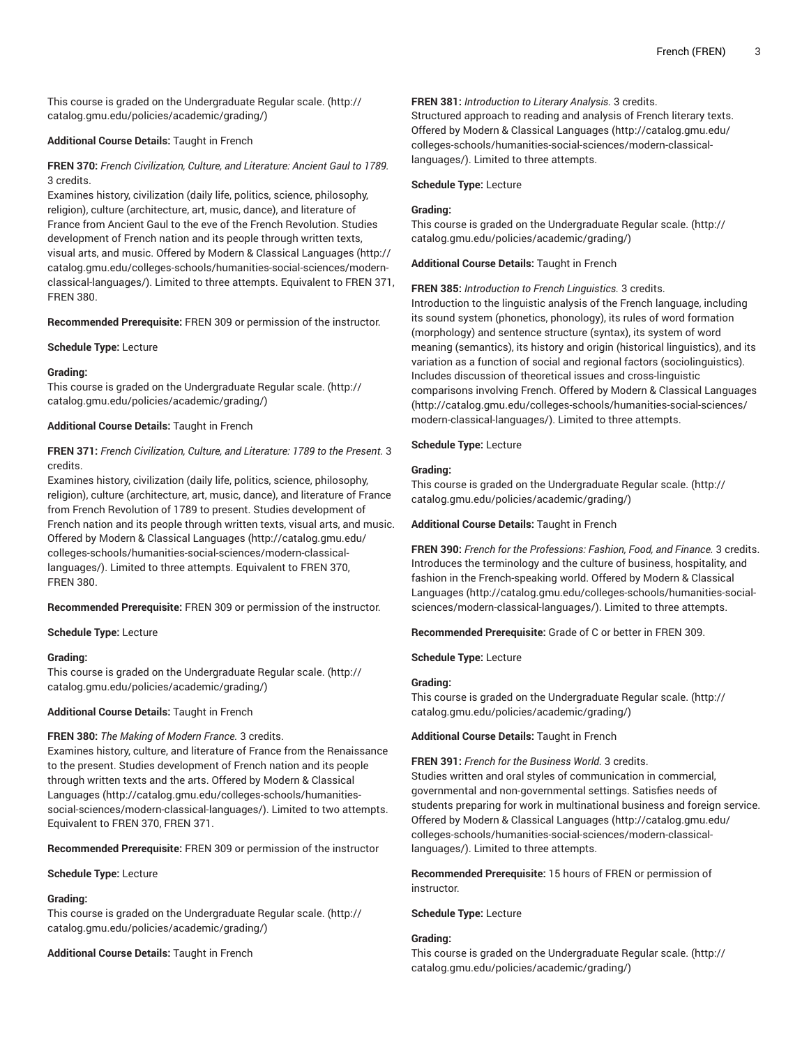This course is graded on the [Undergraduate](http://catalog.gmu.edu/policies/academic/grading/) Regular scale. ([http://](http://catalog.gmu.edu/policies/academic/grading/) [catalog.gmu.edu/policies/academic/grading/\)](http://catalog.gmu.edu/policies/academic/grading/)

## **Additional Course Details:** Taught in French

## **FREN 370:** *French Civilization, Culture, and Literature: Ancient Gaul to 1789.* 3 credits.

Examines history, civilization (daily life, politics, science, philosophy, religion), culture (architecture, art, music, dance), and literature of France from Ancient Gaul to the eve of the French Revolution. Studies development of French nation and its people through written texts, visual arts, and music. Offered by [Modern & Classical Languages](http://catalog.gmu.edu/colleges-schools/humanities-social-sciences/modern-classical-languages/) ([http://](http://catalog.gmu.edu/colleges-schools/humanities-social-sciences/modern-classical-languages/) [catalog.gmu.edu/colleges-schools/humanities-social-sciences/modern](http://catalog.gmu.edu/colleges-schools/humanities-social-sciences/modern-classical-languages/)[classical-languages/\)](http://catalog.gmu.edu/colleges-schools/humanities-social-sciences/modern-classical-languages/). Limited to three attempts. Equivalent to FREN 371, FREN 380.

**Recommended Prerequisite:** FREN 309 or permission of the instructor.

## **Schedule Type:** Lecture

## **Grading:**

This course is graded on the [Undergraduate](http://catalog.gmu.edu/policies/academic/grading/) Regular scale. ([http://](http://catalog.gmu.edu/policies/academic/grading/) [catalog.gmu.edu/policies/academic/grading/\)](http://catalog.gmu.edu/policies/academic/grading/)

## **Additional Course Details:** Taught in French

## **FREN 371:** *French Civilization, Culture, and Literature: 1789 to the Present.* 3 credits.

Examines history, civilization (daily life, politics, science, philosophy, religion), culture (architecture, art, music, dance), and literature of France from French Revolution of 1789 to present. Studies development of French nation and its people through written texts, visual arts, and music. Offered by [Modern & Classical Languages \(http://catalog.gmu.edu/](http://catalog.gmu.edu/colleges-schools/humanities-social-sciences/modern-classical-languages/) [colleges-schools/humanities-social-sciences/modern-classical](http://catalog.gmu.edu/colleges-schools/humanities-social-sciences/modern-classical-languages/)[languages/\)](http://catalog.gmu.edu/colleges-schools/humanities-social-sciences/modern-classical-languages/). Limited to three attempts. Equivalent to FREN 370, FREN 380.

**Recommended Prerequisite:** FREN 309 or permission of the instructor.

## **Schedule Type:** Lecture

## **Grading:**

This course is graded on the [Undergraduate](http://catalog.gmu.edu/policies/academic/grading/) Regular scale. ([http://](http://catalog.gmu.edu/policies/academic/grading/) [catalog.gmu.edu/policies/academic/grading/\)](http://catalog.gmu.edu/policies/academic/grading/)

## **Additional Course Details:** Taught in French

## **FREN 380:** *The Making of Modern France.* 3 credits.

Examines history, culture, and literature of France from the Renaissance to the present. Studies development of French nation and its people through written texts and the arts. Offered by [Modern & Classical](http://catalog.gmu.edu/colleges-schools/humanities-social-sciences/modern-classical-languages/) [Languages \(http://catalog.gmu.edu/colleges-schools/humanities](http://catalog.gmu.edu/colleges-schools/humanities-social-sciences/modern-classical-languages/)[social-sciences/modern-classical-languages/\)](http://catalog.gmu.edu/colleges-schools/humanities-social-sciences/modern-classical-languages/). Limited to two attempts. Equivalent to FREN 370, FREN 371.

**Recommended Prerequisite:** FREN 309 or permission of the instructor

## **Schedule Type:** Lecture

## **Grading:**

This course is graded on the [Undergraduate](http://catalog.gmu.edu/policies/academic/grading/) Regular scale. ([http://](http://catalog.gmu.edu/policies/academic/grading/) [catalog.gmu.edu/policies/academic/grading/\)](http://catalog.gmu.edu/policies/academic/grading/)

**Additional Course Details:** Taught in French

## **FREN 381:** *Introduction to Literary Analysis.* 3 credits.

Structured approach to reading and analysis of French literary texts. Offered by [Modern & Classical Languages](http://catalog.gmu.edu/colleges-schools/humanities-social-sciences/modern-classical-languages/) ([http://catalog.gmu.edu/](http://catalog.gmu.edu/colleges-schools/humanities-social-sciences/modern-classical-languages/) [colleges-schools/humanities-social-sciences/modern-classical](http://catalog.gmu.edu/colleges-schools/humanities-social-sciences/modern-classical-languages/)[languages/](http://catalog.gmu.edu/colleges-schools/humanities-social-sciences/modern-classical-languages/)). Limited to three attempts.

## **Schedule Type:** Lecture

## **Grading:**

This course is graded on the [Undergraduate](http://catalog.gmu.edu/policies/academic/grading/) Regular scale. ([http://](http://catalog.gmu.edu/policies/academic/grading/) [catalog.gmu.edu/policies/academic/grading/](http://catalog.gmu.edu/policies/academic/grading/))

## **Additional Course Details:** Taught in French

## **FREN 385:** *Introduction to French Linguistics.* 3 credits.

Introduction to the linguistic analysis of the French language, including its sound system (phonetics, phonology), its rules of word formation (morphology) and sentence structure (syntax), its system of word meaning (semantics), its history and origin (historical linguistics), and its variation as a function of social and regional factors (sociolinguistics). Includes discussion of theoretical issues and cross-linguistic comparisons involving French. Offered by [Modern & Classical Languages](http://catalog.gmu.edu/colleges-schools/humanities-social-sciences/modern-classical-languages/) [\(http://catalog.gmu.edu/colleges-schools/humanities-social-sciences/](http://catalog.gmu.edu/colleges-schools/humanities-social-sciences/modern-classical-languages/) [modern-classical-languages/\)](http://catalog.gmu.edu/colleges-schools/humanities-social-sciences/modern-classical-languages/). Limited to three attempts.

## **Schedule Type:** Lecture

## **Grading:**

This course is graded on the [Undergraduate](http://catalog.gmu.edu/policies/academic/grading/) Regular scale. ([http://](http://catalog.gmu.edu/policies/academic/grading/) [catalog.gmu.edu/policies/academic/grading/](http://catalog.gmu.edu/policies/academic/grading/))

**Additional Course Details:** Taught in French

**FREN 390:** *French for the Professions: Fashion, Food, and Finance.* 3 credits. Introduces the terminology and the culture of business, hospitality, and fashion in the French-speaking world. Offered by [Modern & Classical](http://catalog.gmu.edu/colleges-schools/humanities-social-sciences/modern-classical-languages/) [Languages](http://catalog.gmu.edu/colleges-schools/humanities-social-sciences/modern-classical-languages/) ([http://catalog.gmu.edu/colleges-schools/humanities-social](http://catalog.gmu.edu/colleges-schools/humanities-social-sciences/modern-classical-languages/)[sciences/modern-classical-languages/\)](http://catalog.gmu.edu/colleges-schools/humanities-social-sciences/modern-classical-languages/). Limited to three attempts.

**Recommended Prerequisite:** Grade of C or better in FREN 309.

## **Schedule Type:** Lecture

## **Grading:**

This course is graded on the [Undergraduate](http://catalog.gmu.edu/policies/academic/grading/) Regular scale. ([http://](http://catalog.gmu.edu/policies/academic/grading/) [catalog.gmu.edu/policies/academic/grading/](http://catalog.gmu.edu/policies/academic/grading/))

## **Additional Course Details:** Taught in French

## **FREN 391:** *French for the Business World.* 3 credits.

Studies written and oral styles of communication in commercial, governmental and non-governmental settings. Satisfies needs of students preparing for work in multinational business and foreign service. Offered by [Modern & Classical Languages](http://catalog.gmu.edu/colleges-schools/humanities-social-sciences/modern-classical-languages/) ([http://catalog.gmu.edu/](http://catalog.gmu.edu/colleges-schools/humanities-social-sciences/modern-classical-languages/) [colleges-schools/humanities-social-sciences/modern-classical](http://catalog.gmu.edu/colleges-schools/humanities-social-sciences/modern-classical-languages/)[languages/](http://catalog.gmu.edu/colleges-schools/humanities-social-sciences/modern-classical-languages/)). Limited to three attempts.

**Recommended Prerequisite:** 15 hours of FREN or permission of instructor.

**Schedule Type:** Lecture

## **Grading:**

This course is graded on the [Undergraduate](http://catalog.gmu.edu/policies/academic/grading/) Regular scale. ([http://](http://catalog.gmu.edu/policies/academic/grading/) [catalog.gmu.edu/policies/academic/grading/](http://catalog.gmu.edu/policies/academic/grading/))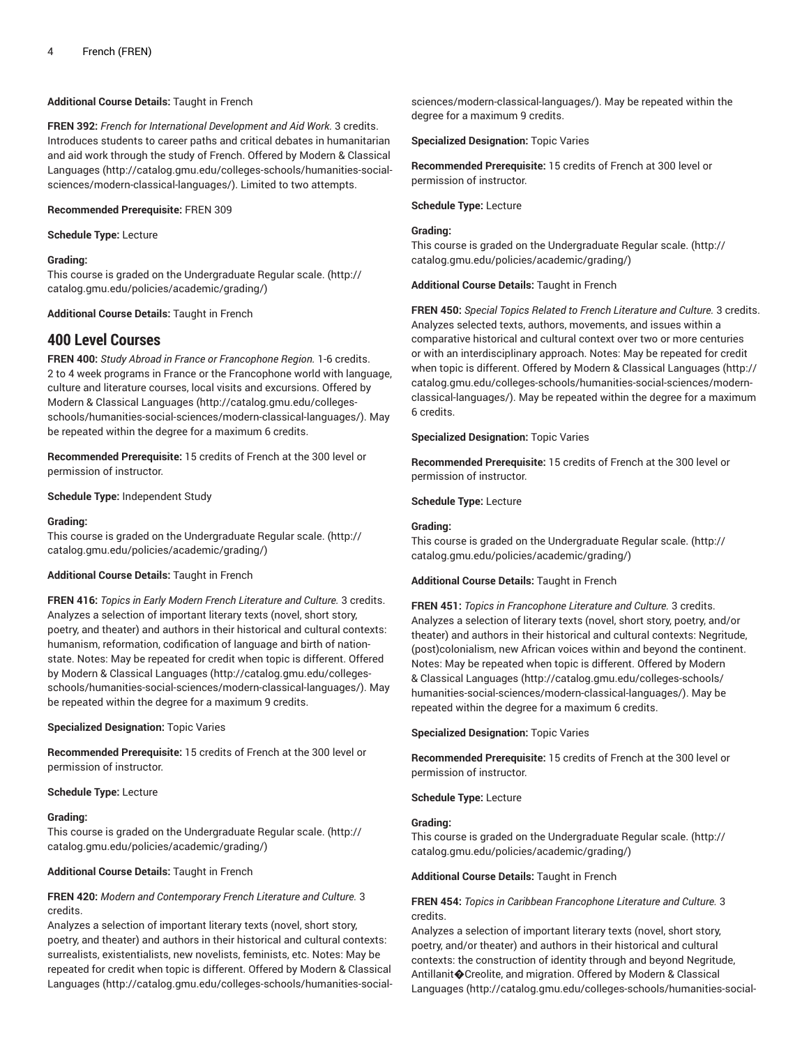## **Additional Course Details:** Taught in French

**FREN 392:** *French for International Development and Aid Work.* 3 credits. Introduces students to career paths and critical debates in humanitarian and aid work through the study of French. Offered by [Modern & Classical](http://catalog.gmu.edu/colleges-schools/humanities-social-sciences/modern-classical-languages/) [Languages \(http://catalog.gmu.edu/colleges-schools/humanities-social](http://catalog.gmu.edu/colleges-schools/humanities-social-sciences/modern-classical-languages/)[sciences/modern-classical-languages/](http://catalog.gmu.edu/colleges-schools/humanities-social-sciences/modern-classical-languages/)). Limited to two attempts.

#### **Recommended Prerequisite:** FREN 309

**Schedule Type:** Lecture

#### **Grading:**

This course is graded on the [Undergraduate](http://catalog.gmu.edu/policies/academic/grading/) Regular scale. ([http://](http://catalog.gmu.edu/policies/academic/grading/) [catalog.gmu.edu/policies/academic/grading/\)](http://catalog.gmu.edu/policies/academic/grading/)

**Additional Course Details:** Taught in French

# **400 Level Courses**

**FREN 400:** *Study Abroad in France or Francophone Region.* 1-6 credits. 2 to 4 week programs in France or the Francophone world with language, culture and literature courses, local visits and excursions. Offered by [Modern & Classical Languages \(http://catalog.gmu.edu/colleges](http://catalog.gmu.edu/colleges-schools/humanities-social-sciences/modern-classical-languages/)[schools/humanities-social-sciences/modern-classical-languages/\)](http://catalog.gmu.edu/colleges-schools/humanities-social-sciences/modern-classical-languages/). May be repeated within the degree for a maximum 6 credits.

**Recommended Prerequisite:** 15 credits of French at the 300 level or permission of instructor.

**Schedule Type:** Independent Study

#### **Grading:**

This course is graded on the [Undergraduate](http://catalog.gmu.edu/policies/academic/grading/) Regular scale. ([http://](http://catalog.gmu.edu/policies/academic/grading/) [catalog.gmu.edu/policies/academic/grading/\)](http://catalog.gmu.edu/policies/academic/grading/)

#### **Additional Course Details:** Taught in French

**FREN 416:** *Topics in Early Modern French Literature and Culture.* 3 credits. Analyzes a selection of important literary texts (novel, short story, poetry, and theater) and authors in their historical and cultural contexts: humanism, reformation, codification of language and birth of nationstate. Notes: May be repeated for credit when topic is different. Offered by [Modern & Classical Languages](http://catalog.gmu.edu/colleges-schools/humanities-social-sciences/modern-classical-languages/) ([http://catalog.gmu.edu/colleges](http://catalog.gmu.edu/colleges-schools/humanities-social-sciences/modern-classical-languages/)[schools/humanities-social-sciences/modern-classical-languages/\)](http://catalog.gmu.edu/colleges-schools/humanities-social-sciences/modern-classical-languages/). May be repeated within the degree for a maximum 9 credits.

**Specialized Designation:** Topic Varies

**Recommended Prerequisite:** 15 credits of French at the 300 level or permission of instructor.

#### **Schedule Type:** Lecture

#### **Grading:**

This course is graded on the [Undergraduate](http://catalog.gmu.edu/policies/academic/grading/) Regular scale. ([http://](http://catalog.gmu.edu/policies/academic/grading/) [catalog.gmu.edu/policies/academic/grading/\)](http://catalog.gmu.edu/policies/academic/grading/)

## **Additional Course Details:** Taught in French

## **FREN 420:** *Modern and Contemporary French Literature and Culture.* 3 credits.

Analyzes a selection of important literary texts (novel, short story, poetry, and theater) and authors in their historical and cultural contexts: surrealists, existentialists, new novelists, feminists, etc. Notes: May be repeated for credit when topic is different. Offered by [Modern & Classical](http://catalog.gmu.edu/colleges-schools/humanities-social-sciences/modern-classical-languages/) [Languages \(http://catalog.gmu.edu/colleges-schools/humanities-social-](http://catalog.gmu.edu/colleges-schools/humanities-social-sciences/modern-classical-languages/) [sciences/modern-classical-languages/\)](http://catalog.gmu.edu/colleges-schools/humanities-social-sciences/modern-classical-languages/). May be repeated within the degree for a maximum 9 credits.

**Specialized Designation:** Topic Varies

**Recommended Prerequisite:** 15 credits of French at 300 level or permission of instructor.

#### **Schedule Type:** Lecture

#### **Grading:**

This course is graded on the [Undergraduate](http://catalog.gmu.edu/policies/academic/grading/) Regular scale. ([http://](http://catalog.gmu.edu/policies/academic/grading/) [catalog.gmu.edu/policies/academic/grading/](http://catalog.gmu.edu/policies/academic/grading/))

#### **Additional Course Details:** Taught in French

**FREN 450:** *Special Topics Related to French Literature and Culture.* 3 credits. Analyzes selected texts, authors, movements, and issues within a comparative historical and cultural context over two or more centuries or with an interdisciplinary approach. Notes: May be repeated for credit when topic is different. Offered by [Modern & Classical Languages](http://catalog.gmu.edu/colleges-schools/humanities-social-sciences/modern-classical-languages/) ([http://](http://catalog.gmu.edu/colleges-schools/humanities-social-sciences/modern-classical-languages/) [catalog.gmu.edu/colleges-schools/humanities-social-sciences/modern](http://catalog.gmu.edu/colleges-schools/humanities-social-sciences/modern-classical-languages/)[classical-languages/\)](http://catalog.gmu.edu/colleges-schools/humanities-social-sciences/modern-classical-languages/). May be repeated within the degree for a maximum 6 credits.

#### **Specialized Designation:** Topic Varies

**Recommended Prerequisite:** 15 credits of French at the 300 level or permission of instructor.

**Schedule Type:** Lecture

#### **Grading:**

This course is graded on the [Undergraduate](http://catalog.gmu.edu/policies/academic/grading/) Regular scale. ([http://](http://catalog.gmu.edu/policies/academic/grading/) [catalog.gmu.edu/policies/academic/grading/](http://catalog.gmu.edu/policies/academic/grading/))

#### **Additional Course Details:** Taught in French

**FREN 451:** *Topics in Francophone Literature and Culture.* 3 credits. Analyzes a selection of literary texts (novel, short story, poetry, and/or theater) and authors in their historical and cultural contexts: Negritude, (post)colonialism, new African voices within and beyond the continent. Notes: May be repeated when topic is different. Offered by [Modern](http://catalog.gmu.edu/colleges-schools/humanities-social-sciences/modern-classical-languages/) [& Classical Languages](http://catalog.gmu.edu/colleges-schools/humanities-social-sciences/modern-classical-languages/) [\(http://catalog.gmu.edu/colleges-schools/](http://catalog.gmu.edu/colleges-schools/humanities-social-sciences/modern-classical-languages/) [humanities-social-sciences/modern-classical-languages/\)](http://catalog.gmu.edu/colleges-schools/humanities-social-sciences/modern-classical-languages/). May be repeated within the degree for a maximum 6 credits.

**Specialized Designation:** Topic Varies

**Recommended Prerequisite:** 15 credits of French at the 300 level or permission of instructor.

**Schedule Type:** Lecture

#### **Grading:**

This course is graded on the [Undergraduate](http://catalog.gmu.edu/policies/academic/grading/) Regular scale. ([http://](http://catalog.gmu.edu/policies/academic/grading/) [catalog.gmu.edu/policies/academic/grading/](http://catalog.gmu.edu/policies/academic/grading/))

## **Additional Course Details:** Taught in French

## **FREN 454:** *Topics in Caribbean Francophone Literature and Culture.* 3 credits.

Analyzes a selection of important literary texts (novel, short story, poetry, and/or theater) and authors in their historical and cultural contexts: the construction of identity through and beyond Negritude, Antillanit�Creolite, and migration. Offered by [Modern & Classical](http://catalog.gmu.edu/colleges-schools/humanities-social-sciences/modern-classical-languages/) [Languages](http://catalog.gmu.edu/colleges-schools/humanities-social-sciences/modern-classical-languages/) ([http://catalog.gmu.edu/colleges-schools/humanities-social-](http://catalog.gmu.edu/colleges-schools/humanities-social-sciences/modern-classical-languages/)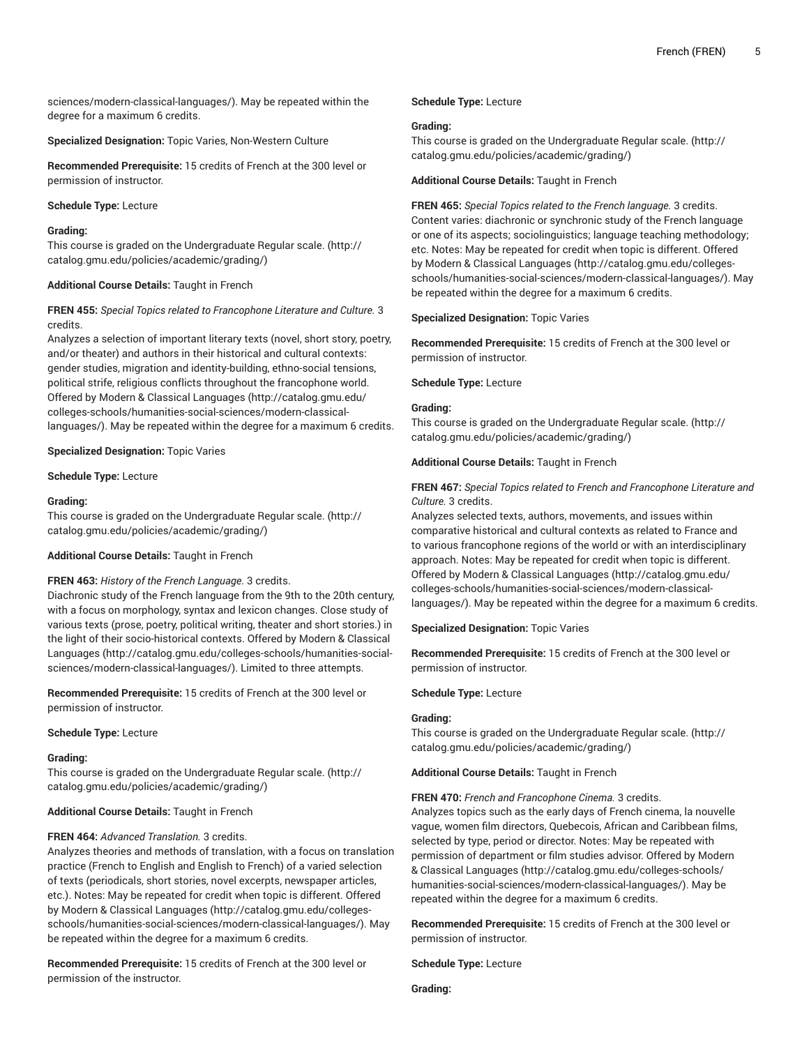[sciences/modern-classical-languages/](http://catalog.gmu.edu/colleges-schools/humanities-social-sciences/modern-classical-languages/)). May be repeated within the degree for a maximum 6 credits.

**Specialized Designation:** Topic Varies, Non-Western Culture

**Recommended Prerequisite:** 15 credits of French at the 300 level or permission of instructor.

## **Schedule Type:** Lecture

## **Grading:**

This course is graded on the [Undergraduate](http://catalog.gmu.edu/policies/academic/grading/) Regular scale. ([http://](http://catalog.gmu.edu/policies/academic/grading/) [catalog.gmu.edu/policies/academic/grading/\)](http://catalog.gmu.edu/policies/academic/grading/)

## **Additional Course Details:** Taught in French

## **FREN 455:** *Special Topics related to Francophone Literature and Culture.* 3 credits.

Analyzes a selection of important literary texts (novel, short story, poetry, and/or theater) and authors in their historical and cultural contexts: gender studies, migration and identity-building, ethno-social tensions, political strife, religious conflicts throughout the francophone world. Offered by [Modern & Classical Languages \(http://catalog.gmu.edu/](http://catalog.gmu.edu/colleges-schools/humanities-social-sciences/modern-classical-languages/) [colleges-schools/humanities-social-sciences/modern-classical](http://catalog.gmu.edu/colleges-schools/humanities-social-sciences/modern-classical-languages/)[languages/\)](http://catalog.gmu.edu/colleges-schools/humanities-social-sciences/modern-classical-languages/). May be repeated within the degree for a maximum 6 credits.

## **Specialized Designation:** Topic Varies

## **Schedule Type:** Lecture

## **Grading:**

This course is graded on the [Undergraduate](http://catalog.gmu.edu/policies/academic/grading/) Regular scale. ([http://](http://catalog.gmu.edu/policies/academic/grading/) [catalog.gmu.edu/policies/academic/grading/\)](http://catalog.gmu.edu/policies/academic/grading/)

## **Additional Course Details:** Taught in French

## **FREN 463:** *History of the French Language.* 3 credits.

Diachronic study of the French language from the 9th to the 20th century, with a focus on morphology, syntax and lexicon changes. Close study of various texts (prose, poetry, political writing, theater and short stories.) in the light of their socio-historical contexts. Offered by [Modern & Classical](http://catalog.gmu.edu/colleges-schools/humanities-social-sciences/modern-classical-languages/) [Languages \(http://catalog.gmu.edu/colleges-schools/humanities-social](http://catalog.gmu.edu/colleges-schools/humanities-social-sciences/modern-classical-languages/)[sciences/modern-classical-languages/](http://catalog.gmu.edu/colleges-schools/humanities-social-sciences/modern-classical-languages/)). Limited to three attempts.

**Recommended Prerequisite:** 15 credits of French at the 300 level or permission of instructor.

## **Schedule Type:** Lecture

## **Grading:**

This course is graded on the [Undergraduate](http://catalog.gmu.edu/policies/academic/grading/) Regular scale. ([http://](http://catalog.gmu.edu/policies/academic/grading/) [catalog.gmu.edu/policies/academic/grading/\)](http://catalog.gmu.edu/policies/academic/grading/)

## **Additional Course Details:** Taught in French

## **FREN 464:** *Advanced Translation.* 3 credits.

Analyzes theories and methods of translation, with a focus on translation practice (French to English and English to French) of a varied selection of texts (periodicals, short stories, novel excerpts, newspaper articles, etc.). Notes: May be repeated for credit when topic is different. Offered by [Modern & Classical Languages](http://catalog.gmu.edu/colleges-schools/humanities-social-sciences/modern-classical-languages/) ([http://catalog.gmu.edu/colleges](http://catalog.gmu.edu/colleges-schools/humanities-social-sciences/modern-classical-languages/)[schools/humanities-social-sciences/modern-classical-languages/\)](http://catalog.gmu.edu/colleges-schools/humanities-social-sciences/modern-classical-languages/). May be repeated within the degree for a maximum 6 credits.

**Recommended Prerequisite:** 15 credits of French at the 300 level or permission of the instructor.

## **Schedule Type:** Lecture

## **Grading:**

This course is graded on the [Undergraduate](http://catalog.gmu.edu/policies/academic/grading/) Regular scale. ([http://](http://catalog.gmu.edu/policies/academic/grading/) [catalog.gmu.edu/policies/academic/grading/](http://catalog.gmu.edu/policies/academic/grading/))

**Additional Course Details:** Taught in French

**FREN 465:** *Special Topics related to the French language.* 3 credits. Content varies: diachronic or synchronic study of the French language or one of its aspects; sociolinguistics; language teaching methodology; etc. Notes: May be repeated for credit when topic is different. Offered by [Modern & Classical Languages \(http://catalog.gmu.edu/colleges](http://catalog.gmu.edu/colleges-schools/humanities-social-sciences/modern-classical-languages/)[schools/humanities-social-sciences/modern-classical-languages/](http://catalog.gmu.edu/colleges-schools/humanities-social-sciences/modern-classical-languages/)). May be repeated within the degree for a maximum 6 credits.

**Specialized Designation:** Topic Varies

**Recommended Prerequisite:** 15 credits of French at the 300 level or permission of instructor.

## **Schedule Type:** Lecture

## **Grading:**

This course is graded on the [Undergraduate](http://catalog.gmu.edu/policies/academic/grading/) Regular scale. ([http://](http://catalog.gmu.edu/policies/academic/grading/) [catalog.gmu.edu/policies/academic/grading/](http://catalog.gmu.edu/policies/academic/grading/))

## **Additional Course Details:** Taught in French

## **FREN 467:** *Special Topics related to French and Francophone Literature and Culture.* 3 credits.

Analyzes selected texts, authors, movements, and issues within comparative historical and cultural contexts as related to France and to various francophone regions of the world or with an interdisciplinary approach. Notes: May be repeated for credit when topic is different. Offered by [Modern & Classical Languages](http://catalog.gmu.edu/colleges-schools/humanities-social-sciences/modern-classical-languages/) ([http://catalog.gmu.edu/](http://catalog.gmu.edu/colleges-schools/humanities-social-sciences/modern-classical-languages/) [colleges-schools/humanities-social-sciences/modern-classical](http://catalog.gmu.edu/colleges-schools/humanities-social-sciences/modern-classical-languages/)[languages/](http://catalog.gmu.edu/colleges-schools/humanities-social-sciences/modern-classical-languages/)). May be repeated within the degree for a maximum 6 credits.

## **Specialized Designation:** Topic Varies

**Recommended Prerequisite:** 15 credits of French at the 300 level or permission of instructor.

**Schedule Type:** Lecture

## **Grading:**

This course is graded on the [Undergraduate](http://catalog.gmu.edu/policies/academic/grading/) Regular scale. ([http://](http://catalog.gmu.edu/policies/academic/grading/) [catalog.gmu.edu/policies/academic/grading/](http://catalog.gmu.edu/policies/academic/grading/))

**Additional Course Details:** Taught in French

**FREN 470:** *French and Francophone Cinema.* 3 credits.

Analyzes topics such as the early days of French cinema, la nouvelle vague, women film directors, Quebecois, African and Caribbean films, selected by type, period or director. Notes: May be repeated with permission of department or film studies advisor. Offered by [Modern](http://catalog.gmu.edu/colleges-schools/humanities-social-sciences/modern-classical-languages/) [& Classical Languages](http://catalog.gmu.edu/colleges-schools/humanities-social-sciences/modern-classical-languages/) [\(http://catalog.gmu.edu/colleges-schools/](http://catalog.gmu.edu/colleges-schools/humanities-social-sciences/modern-classical-languages/) [humanities-social-sciences/modern-classical-languages/\)](http://catalog.gmu.edu/colleges-schools/humanities-social-sciences/modern-classical-languages/). May be repeated within the degree for a maximum 6 credits.

**Recommended Prerequisite:** 15 credits of French at the 300 level or permission of instructor.

**Schedule Type:** Lecture

**Grading:**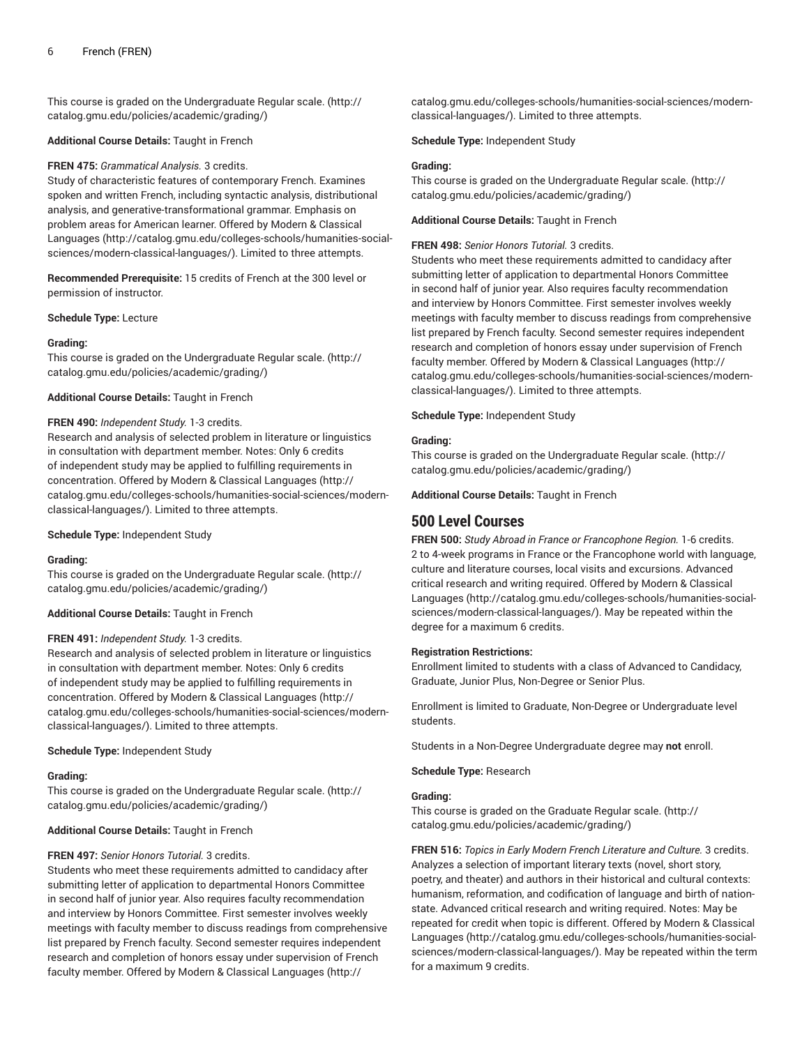This course is graded on the [Undergraduate](http://catalog.gmu.edu/policies/academic/grading/) Regular scale. ([http://](http://catalog.gmu.edu/policies/academic/grading/) [catalog.gmu.edu/policies/academic/grading/\)](http://catalog.gmu.edu/policies/academic/grading/)

#### **Additional Course Details:** Taught in French

#### **FREN 475:** *Grammatical Analysis.* 3 credits.

Study of characteristic features of contemporary French. Examines spoken and written French, including syntactic analysis, distributional analysis, and generative-transformational grammar. Emphasis on problem areas for American learner. Offered by [Modern & Classical](http://catalog.gmu.edu/colleges-schools/humanities-social-sciences/modern-classical-languages/) [Languages \(http://catalog.gmu.edu/colleges-schools/humanities-social](http://catalog.gmu.edu/colleges-schools/humanities-social-sciences/modern-classical-languages/)[sciences/modern-classical-languages/](http://catalog.gmu.edu/colleges-schools/humanities-social-sciences/modern-classical-languages/)). Limited to three attempts.

**Recommended Prerequisite:** 15 credits of French at the 300 level or permission of instructor.

**Schedule Type:** Lecture

#### **Grading:**

This course is graded on the [Undergraduate](http://catalog.gmu.edu/policies/academic/grading/) Regular scale. ([http://](http://catalog.gmu.edu/policies/academic/grading/) [catalog.gmu.edu/policies/academic/grading/\)](http://catalog.gmu.edu/policies/academic/grading/)

#### **Additional Course Details:** Taught in French

#### **FREN 490:** *Independent Study.* 1-3 credits.

Research and analysis of selected problem in literature or linguistics in consultation with department member. Notes: Only 6 credits of independent study may be applied to fulfilling requirements in concentration. Offered by [Modern & Classical Languages](http://catalog.gmu.edu/colleges-schools/humanities-social-sciences/modern-classical-languages/) ([http://](http://catalog.gmu.edu/colleges-schools/humanities-social-sciences/modern-classical-languages/) [catalog.gmu.edu/colleges-schools/humanities-social-sciences/modern](http://catalog.gmu.edu/colleges-schools/humanities-social-sciences/modern-classical-languages/)[classical-languages/\)](http://catalog.gmu.edu/colleges-schools/humanities-social-sciences/modern-classical-languages/). Limited to three attempts.

#### **Schedule Type:** Independent Study

#### **Grading:**

This course is graded on the [Undergraduate](http://catalog.gmu.edu/policies/academic/grading/) Regular scale. ([http://](http://catalog.gmu.edu/policies/academic/grading/) [catalog.gmu.edu/policies/academic/grading/\)](http://catalog.gmu.edu/policies/academic/grading/)

#### **Additional Course Details:** Taught in French

## **FREN 491:** *Independent Study.* 1-3 credits.

Research and analysis of selected problem in literature or linguistics in consultation with department member. Notes: Only 6 credits of independent study may be applied to fulfilling requirements in concentration. Offered by [Modern & Classical Languages](http://catalog.gmu.edu/colleges-schools/humanities-social-sciences/modern-classical-languages/) ([http://](http://catalog.gmu.edu/colleges-schools/humanities-social-sciences/modern-classical-languages/) [catalog.gmu.edu/colleges-schools/humanities-social-sciences/modern](http://catalog.gmu.edu/colleges-schools/humanities-social-sciences/modern-classical-languages/)[classical-languages/\)](http://catalog.gmu.edu/colleges-schools/humanities-social-sciences/modern-classical-languages/). Limited to three attempts.

#### **Schedule Type:** Independent Study

## **Grading:**

This course is graded on the [Undergraduate](http://catalog.gmu.edu/policies/academic/grading/) Regular scale. ([http://](http://catalog.gmu.edu/policies/academic/grading/) [catalog.gmu.edu/policies/academic/grading/\)](http://catalog.gmu.edu/policies/academic/grading/)

## **Additional Course Details:** Taught in French

## **FREN 497:** *Senior Honors Tutorial.* 3 credits.

Students who meet these requirements admitted to candidacy after submitting letter of application to departmental Honors Committee in second half of junior year. Also requires faculty recommendation and interview by Honors Committee. First semester involves weekly meetings with faculty member to discuss readings from comprehensive list prepared by French faculty. Second semester requires independent research and completion of honors essay under supervision of French faculty member. Offered by [Modern & Classical Languages \(http://](http://catalog.gmu.edu/colleges-schools/humanities-social-sciences/modern-classical-languages/)

[catalog.gmu.edu/colleges-schools/humanities-social-sciences/modern](http://catalog.gmu.edu/colleges-schools/humanities-social-sciences/modern-classical-languages/)[classical-languages/\)](http://catalog.gmu.edu/colleges-schools/humanities-social-sciences/modern-classical-languages/). Limited to three attempts.

**Schedule Type:** Independent Study

#### **Grading:**

This course is graded on the [Undergraduate](http://catalog.gmu.edu/policies/academic/grading/) Regular scale. ([http://](http://catalog.gmu.edu/policies/academic/grading/) [catalog.gmu.edu/policies/academic/grading/](http://catalog.gmu.edu/policies/academic/grading/))

#### **Additional Course Details:** Taught in French

#### **FREN 498:** *Senior Honors Tutorial.* 3 credits.

Students who meet these requirements admitted to candidacy after submitting letter of application to departmental Honors Committee in second half of junior year. Also requires faculty recommendation and interview by Honors Committee. First semester involves weekly meetings with faculty member to discuss readings from comprehensive list prepared by French faculty. Second semester requires independent research and completion of honors essay under supervision of French faculty member. Offered by [Modern & Classical Languages](http://catalog.gmu.edu/colleges-schools/humanities-social-sciences/modern-classical-languages/) ([http://](http://catalog.gmu.edu/colleges-schools/humanities-social-sciences/modern-classical-languages/) [catalog.gmu.edu/colleges-schools/humanities-social-sciences/modern](http://catalog.gmu.edu/colleges-schools/humanities-social-sciences/modern-classical-languages/)[classical-languages/\)](http://catalog.gmu.edu/colleges-schools/humanities-social-sciences/modern-classical-languages/). Limited to three attempts.

#### **Schedule Type:** Independent Study

#### **Grading:**

This course is graded on the [Undergraduate](http://catalog.gmu.edu/policies/academic/grading/) Regular scale. ([http://](http://catalog.gmu.edu/policies/academic/grading/) [catalog.gmu.edu/policies/academic/grading/](http://catalog.gmu.edu/policies/academic/grading/))

**Additional Course Details:** Taught in French

# **500 Level Courses**

**FREN 500:** *Study Abroad in France or Francophone Region.* 1-6 credits. 2 to 4-week programs in France or the Francophone world with language, culture and literature courses, local visits and excursions. Advanced critical research and writing required. Offered by [Modern & Classical](http://catalog.gmu.edu/colleges-schools/humanities-social-sciences/modern-classical-languages/) [Languages](http://catalog.gmu.edu/colleges-schools/humanities-social-sciences/modern-classical-languages/) ([http://catalog.gmu.edu/colleges-schools/humanities-social](http://catalog.gmu.edu/colleges-schools/humanities-social-sciences/modern-classical-languages/)[sciences/modern-classical-languages/\)](http://catalog.gmu.edu/colleges-schools/humanities-social-sciences/modern-classical-languages/). May be repeated within the degree for a maximum 6 credits.

#### **Registration Restrictions:**

Enrollment limited to students with a class of Advanced to Candidacy, Graduate, Junior Plus, Non-Degree or Senior Plus.

Enrollment is limited to Graduate, Non-Degree or Undergraduate level students.

Students in a Non-Degree Undergraduate degree may **not** enroll.

#### **Schedule Type:** Research

#### **Grading:**

This course is graded on the [Graduate Regular scale.](http://catalog.gmu.edu/policies/academic/grading/) ([http://](http://catalog.gmu.edu/policies/academic/grading/) [catalog.gmu.edu/policies/academic/grading/](http://catalog.gmu.edu/policies/academic/grading/))

**FREN 516:** *Topics in Early Modern French Literature and Culture.* 3 credits. Analyzes a selection of important literary texts (novel, short story, poetry, and theater) and authors in their historical and cultural contexts: humanism, reformation, and codification of language and birth of nationstate. Advanced critical research and writing required. Notes: May be repeated for credit when topic is different. Offered by [Modern & Classical](http://catalog.gmu.edu/colleges-schools/humanities-social-sciences/modern-classical-languages/) [Languages](http://catalog.gmu.edu/colleges-schools/humanities-social-sciences/modern-classical-languages/) ([http://catalog.gmu.edu/colleges-schools/humanities-social](http://catalog.gmu.edu/colleges-schools/humanities-social-sciences/modern-classical-languages/)[sciences/modern-classical-languages/\)](http://catalog.gmu.edu/colleges-schools/humanities-social-sciences/modern-classical-languages/). May be repeated within the term for a maximum 9 credits.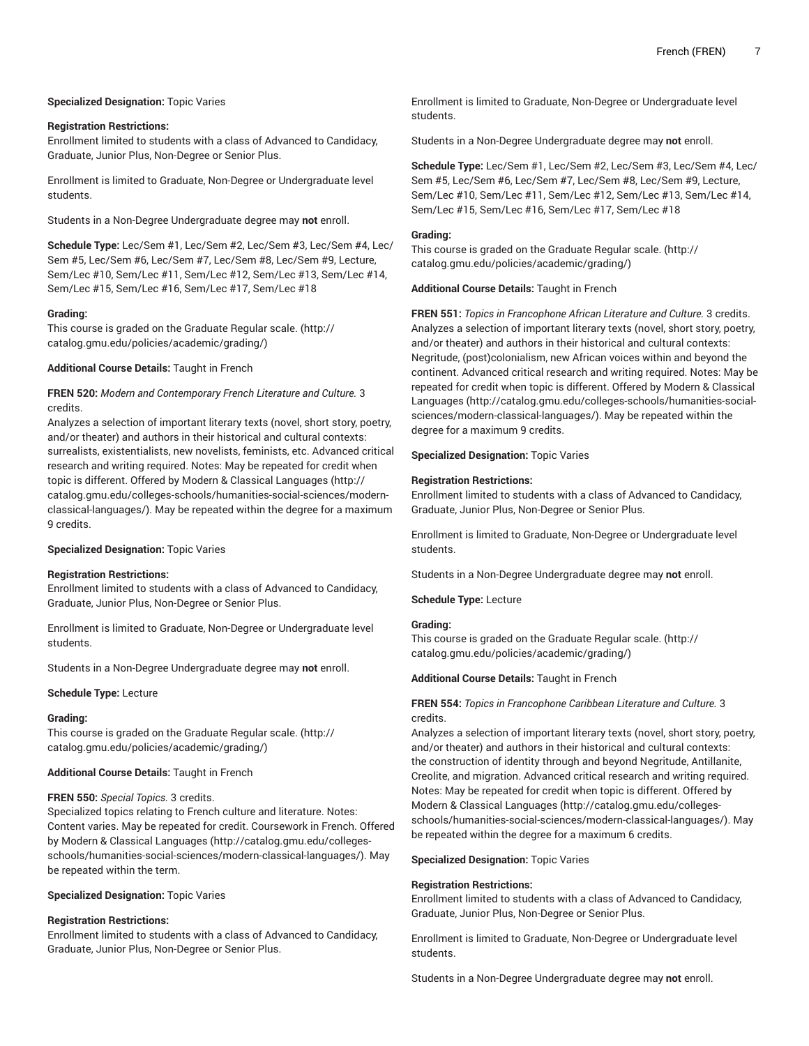## **Specialized Designation:** Topic Varies

#### **Registration Restrictions:**

Enrollment limited to students with a class of Advanced to Candidacy, Graduate, Junior Plus, Non-Degree or Senior Plus.

Enrollment is limited to Graduate, Non-Degree or Undergraduate level students.

Students in a Non-Degree Undergraduate degree may **not** enroll.

**Schedule Type:** Lec/Sem #1, Lec/Sem #2, Lec/Sem #3, Lec/Sem #4, Lec/ Sem #5, Lec/Sem #6, Lec/Sem #7, Lec/Sem #8, Lec/Sem #9, Lecture, Sem/Lec #10, Sem/Lec #11, Sem/Lec #12, Sem/Lec #13, Sem/Lec #14, Sem/Lec #15, Sem/Lec #16, Sem/Lec #17, Sem/Lec #18

#### **Grading:**

This course is graded on the [Graduate Regular scale.](http://catalog.gmu.edu/policies/academic/grading/) [\(http://](http://catalog.gmu.edu/policies/academic/grading/) [catalog.gmu.edu/policies/academic/grading/\)](http://catalog.gmu.edu/policies/academic/grading/)

#### **Additional Course Details:** Taught in French

## **FREN 520:** *Modern and Contemporary French Literature and Culture.* 3 credits.

Analyzes a selection of important literary texts (novel, short story, poetry, and/or theater) and authors in their historical and cultural contexts: surrealists, existentialists, new novelists, feminists, etc. Advanced critical research and writing required. Notes: May be repeated for credit when topic is different. Offered by [Modern & Classical Languages](http://catalog.gmu.edu/colleges-schools/humanities-social-sciences/modern-classical-languages/) [\(http://](http://catalog.gmu.edu/colleges-schools/humanities-social-sciences/modern-classical-languages/) [catalog.gmu.edu/colleges-schools/humanities-social-sciences/modern](http://catalog.gmu.edu/colleges-schools/humanities-social-sciences/modern-classical-languages/)[classical-languages/\)](http://catalog.gmu.edu/colleges-schools/humanities-social-sciences/modern-classical-languages/). May be repeated within the degree for a maximum 9 credits.

#### **Specialized Designation:** Topic Varies

#### **Registration Restrictions:**

Enrollment limited to students with a class of Advanced to Candidacy, Graduate, Junior Plus, Non-Degree or Senior Plus.

Enrollment is limited to Graduate, Non-Degree or Undergraduate level students.

Students in a Non-Degree Undergraduate degree may **not** enroll.

#### **Schedule Type:** Lecture

#### **Grading:**

This course is graded on the [Graduate Regular scale.](http://catalog.gmu.edu/policies/academic/grading/) [\(http://](http://catalog.gmu.edu/policies/academic/grading/) [catalog.gmu.edu/policies/academic/grading/\)](http://catalog.gmu.edu/policies/academic/grading/)

#### **Additional Course Details:** Taught in French

#### **FREN 550:** *Special Topics.* 3 credits.

Specialized topics relating to French culture and literature. Notes: Content varies. May be repeated for credit. Coursework in French. Offered by [Modern & Classical Languages](http://catalog.gmu.edu/colleges-schools/humanities-social-sciences/modern-classical-languages/) ([http://catalog.gmu.edu/colleges](http://catalog.gmu.edu/colleges-schools/humanities-social-sciences/modern-classical-languages/)[schools/humanities-social-sciences/modern-classical-languages/\)](http://catalog.gmu.edu/colleges-schools/humanities-social-sciences/modern-classical-languages/). May be repeated within the term.

#### **Specialized Designation:** Topic Varies

## **Registration Restrictions:**

Enrollment limited to students with a class of Advanced to Candidacy, Graduate, Junior Plus, Non-Degree or Senior Plus.

Enrollment is limited to Graduate, Non-Degree or Undergraduate level students.

Students in a Non-Degree Undergraduate degree may **not** enroll.

**Schedule Type:** Lec/Sem #1, Lec/Sem #2, Lec/Sem #3, Lec/Sem #4, Lec/ Sem #5, Lec/Sem #6, Lec/Sem #7, Lec/Sem #8, Lec/Sem #9, Lecture, Sem/Lec #10, Sem/Lec #11, Sem/Lec #12, Sem/Lec #13, Sem/Lec #14, Sem/Lec #15, Sem/Lec #16, Sem/Lec #17, Sem/Lec #18

#### **Grading:**

This course is graded on the [Graduate Regular scale.](http://catalog.gmu.edu/policies/academic/grading/) ([http://](http://catalog.gmu.edu/policies/academic/grading/) [catalog.gmu.edu/policies/academic/grading/](http://catalog.gmu.edu/policies/academic/grading/))

## **Additional Course Details:** Taught in French

**FREN 551:** *Topics in Francophone African Literature and Culture.* 3 credits. Analyzes a selection of important literary texts (novel, short story, poetry, and/or theater) and authors in their historical and cultural contexts: Negritude, (post)colonialism, new African voices within and beyond the continent. Advanced critical research and writing required. Notes: May be repeated for credit when topic is different. Offered by [Modern & Classical](http://catalog.gmu.edu/colleges-schools/humanities-social-sciences/modern-classical-languages/) [Languages](http://catalog.gmu.edu/colleges-schools/humanities-social-sciences/modern-classical-languages/) ([http://catalog.gmu.edu/colleges-schools/humanities-social](http://catalog.gmu.edu/colleges-schools/humanities-social-sciences/modern-classical-languages/)[sciences/modern-classical-languages/\)](http://catalog.gmu.edu/colleges-schools/humanities-social-sciences/modern-classical-languages/). May be repeated within the degree for a maximum 9 credits.

#### **Specialized Designation:** Topic Varies

#### **Registration Restrictions:**

Enrollment limited to students with a class of Advanced to Candidacy, Graduate, Junior Plus, Non-Degree or Senior Plus.

Enrollment is limited to Graduate, Non-Degree or Undergraduate level students.

Students in a Non-Degree Undergraduate degree may **not** enroll.

**Schedule Type:** Lecture

## **Grading:**

This course is graded on the [Graduate Regular scale.](http://catalog.gmu.edu/policies/academic/grading/) ([http://](http://catalog.gmu.edu/policies/academic/grading/) [catalog.gmu.edu/policies/academic/grading/](http://catalog.gmu.edu/policies/academic/grading/))

**Additional Course Details:** Taught in French

#### **FREN 554:** *Topics in Francophone Caribbean Literature and Culture.* 3 credits.

Analyzes a selection of important literary texts (novel, short story, poetry, and/or theater) and authors in their historical and cultural contexts: the construction of identity through and beyond Negritude, Antillanite, Creolite, and migration. Advanced critical research and writing required. Notes: May be repeated for credit when topic is different. Offered by [Modern & Classical Languages](http://catalog.gmu.edu/colleges-schools/humanities-social-sciences/modern-classical-languages/) ([http://catalog.gmu.edu/colleges](http://catalog.gmu.edu/colleges-schools/humanities-social-sciences/modern-classical-languages/)[schools/humanities-social-sciences/modern-classical-languages/](http://catalog.gmu.edu/colleges-schools/humanities-social-sciences/modern-classical-languages/)). May be repeated within the degree for a maximum 6 credits.

#### **Specialized Designation:** Topic Varies

#### **Registration Restrictions:**

Enrollment limited to students with a class of Advanced to Candidacy, Graduate, Junior Plus, Non-Degree or Senior Plus.

Enrollment is limited to Graduate, Non-Degree or Undergraduate level students.

Students in a Non-Degree Undergraduate degree may **not** enroll.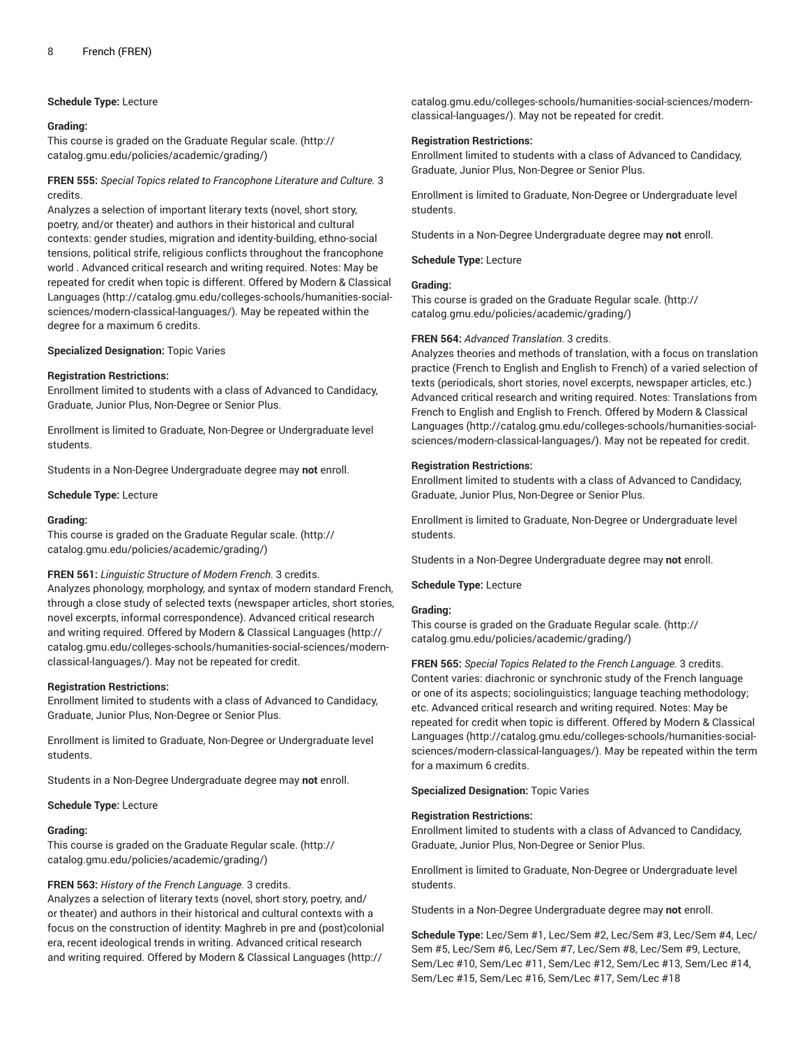#### **Schedule Type:** Lecture

#### **Grading:**

This course is graded on the [Graduate Regular scale.](http://catalog.gmu.edu/policies/academic/grading/) [\(http://](http://catalog.gmu.edu/policies/academic/grading/) [catalog.gmu.edu/policies/academic/grading/\)](http://catalog.gmu.edu/policies/academic/grading/)

**FREN 555:** *Special Topics related to Francophone Literature and Culture.* 3 credits.

Analyzes a selection of important literary texts (novel, short story, poetry, and/or theater) and authors in their historical and cultural contexts: gender studies, migration and identity-building, ethno-social tensions, political strife, religious conflicts throughout the francophone world . Advanced critical research and writing required. Notes: May be repeated for credit when topic is different. Offered by [Modern & Classical](http://catalog.gmu.edu/colleges-schools/humanities-social-sciences/modern-classical-languages/) [Languages \(http://catalog.gmu.edu/colleges-schools/humanities-social](http://catalog.gmu.edu/colleges-schools/humanities-social-sciences/modern-classical-languages/)[sciences/modern-classical-languages/](http://catalog.gmu.edu/colleges-schools/humanities-social-sciences/modern-classical-languages/)). May be repeated within the degree for a maximum 6 credits.

#### **Specialized Designation:** Topic Varies

#### **Registration Restrictions:**

Enrollment limited to students with a class of Advanced to Candidacy, Graduate, Junior Plus, Non-Degree or Senior Plus.

Enrollment is limited to Graduate, Non-Degree or Undergraduate level students.

Students in a Non-Degree Undergraduate degree may **not** enroll.

#### **Schedule Type:** Lecture

#### **Grading:**

This course is graded on the [Graduate Regular scale.](http://catalog.gmu.edu/policies/academic/grading/) [\(http://](http://catalog.gmu.edu/policies/academic/grading/) [catalog.gmu.edu/policies/academic/grading/\)](http://catalog.gmu.edu/policies/academic/grading/)

#### **FREN 561:** *Linguistic Structure of Modern French.* 3 credits.

Analyzes phonology, morphology, and syntax of modern standard French, through a close study of selected texts (newspaper articles, short stories, novel excerpts, informal correspondence). Advanced critical research and writing required. Offered by [Modern & Classical Languages](http://catalog.gmu.edu/colleges-schools/humanities-social-sciences/modern-classical-languages/) ([http://](http://catalog.gmu.edu/colleges-schools/humanities-social-sciences/modern-classical-languages/) [catalog.gmu.edu/colleges-schools/humanities-social-sciences/modern](http://catalog.gmu.edu/colleges-schools/humanities-social-sciences/modern-classical-languages/)[classical-languages/\)](http://catalog.gmu.edu/colleges-schools/humanities-social-sciences/modern-classical-languages/). May not be repeated for credit.

#### **Registration Restrictions:**

Enrollment limited to students with a class of Advanced to Candidacy, Graduate, Junior Plus, Non-Degree or Senior Plus.

Enrollment is limited to Graduate, Non-Degree or Undergraduate level students.

Students in a Non-Degree Undergraduate degree may **not** enroll.

#### **Schedule Type:** Lecture

#### **Grading:**

This course is graded on the [Graduate Regular scale.](http://catalog.gmu.edu/policies/academic/grading/) [\(http://](http://catalog.gmu.edu/policies/academic/grading/) [catalog.gmu.edu/policies/academic/grading/\)](http://catalog.gmu.edu/policies/academic/grading/)

#### **FREN 563:** *History of the French Language.* 3 credits.

Analyzes a selection of literary texts (novel, short story, poetry, and/ or theater) and authors in their historical and cultural contexts with a focus on the construction of identity: Maghreb in pre and (post)colonial era, recent ideological trends in writing. Advanced critical research and writing required. Offered by [Modern & Classical Languages](http://catalog.gmu.edu/colleges-schools/humanities-social-sciences/modern-classical-languages/) ([http://](http://catalog.gmu.edu/colleges-schools/humanities-social-sciences/modern-classical-languages/)

[catalog.gmu.edu/colleges-schools/humanities-social-sciences/modern](http://catalog.gmu.edu/colleges-schools/humanities-social-sciences/modern-classical-languages/)[classical-languages/\)](http://catalog.gmu.edu/colleges-schools/humanities-social-sciences/modern-classical-languages/). May not be repeated for credit.

#### **Registration Restrictions:**

Enrollment limited to students with a class of Advanced to Candidacy, Graduate, Junior Plus, Non-Degree or Senior Plus.

Enrollment is limited to Graduate, Non-Degree or Undergraduate level students.

Students in a Non-Degree Undergraduate degree may **not** enroll.

**Schedule Type:** Lecture

## **Grading:**

This course is graded on the [Graduate Regular scale.](http://catalog.gmu.edu/policies/academic/grading/) ([http://](http://catalog.gmu.edu/policies/academic/grading/) [catalog.gmu.edu/policies/academic/grading/](http://catalog.gmu.edu/policies/academic/grading/))

#### **FREN 564:** *Advanced Translation.* 3 credits.

Analyzes theories and methods of translation, with a focus on translation practice (French to English and English to French) of a varied selection of texts (periodicals, short stories, novel excerpts, newspaper articles, etc.) Advanced critical research and writing required. Notes: Translations from French to English and English to French. Offered by [Modern & Classical](http://catalog.gmu.edu/colleges-schools/humanities-social-sciences/modern-classical-languages/) [Languages](http://catalog.gmu.edu/colleges-schools/humanities-social-sciences/modern-classical-languages/) ([http://catalog.gmu.edu/colleges-schools/humanities-social](http://catalog.gmu.edu/colleges-schools/humanities-social-sciences/modern-classical-languages/)[sciences/modern-classical-languages/\)](http://catalog.gmu.edu/colleges-schools/humanities-social-sciences/modern-classical-languages/). May not be repeated for credit.

#### **Registration Restrictions:**

Enrollment limited to students with a class of Advanced to Candidacy, Graduate, Junior Plus, Non-Degree or Senior Plus.

Enrollment is limited to Graduate, Non-Degree or Undergraduate level students.

Students in a Non-Degree Undergraduate degree may **not** enroll.

**Schedule Type:** Lecture

## **Grading:**

This course is graded on the [Graduate Regular scale.](http://catalog.gmu.edu/policies/academic/grading/) ([http://](http://catalog.gmu.edu/policies/academic/grading/) [catalog.gmu.edu/policies/academic/grading/](http://catalog.gmu.edu/policies/academic/grading/))

**FREN 565:** *Special Topics Related to the French Language.* 3 credits. Content varies: diachronic or synchronic study of the French language or one of its aspects; sociolinguistics; language teaching methodology; etc. Advanced critical research and writing required. Notes: May be repeated for credit when topic is different. Offered by [Modern & Classical](http://catalog.gmu.edu/colleges-schools/humanities-social-sciences/modern-classical-languages/) [Languages](http://catalog.gmu.edu/colleges-schools/humanities-social-sciences/modern-classical-languages/) ([http://catalog.gmu.edu/colleges-schools/humanities-social](http://catalog.gmu.edu/colleges-schools/humanities-social-sciences/modern-classical-languages/)[sciences/modern-classical-languages/\)](http://catalog.gmu.edu/colleges-schools/humanities-social-sciences/modern-classical-languages/). May be repeated within the term for a maximum 6 credits.

**Specialized Designation:** Topic Varies

#### **Registration Restrictions:**

Enrollment limited to students with a class of Advanced to Candidacy, Graduate, Junior Plus, Non-Degree or Senior Plus.

Enrollment is limited to Graduate, Non-Degree or Undergraduate level students.

Students in a Non-Degree Undergraduate degree may **not** enroll.

**Schedule Type:** Lec/Sem #1, Lec/Sem #2, Lec/Sem #3, Lec/Sem #4, Lec/ Sem #5, Lec/Sem #6, Lec/Sem #7, Lec/Sem #8, Lec/Sem #9, Lecture, Sem/Lec #10, Sem/Lec #11, Sem/Lec #12, Sem/Lec #13, Sem/Lec #14, Sem/Lec #15, Sem/Lec #16, Sem/Lec #17, Sem/Lec #18